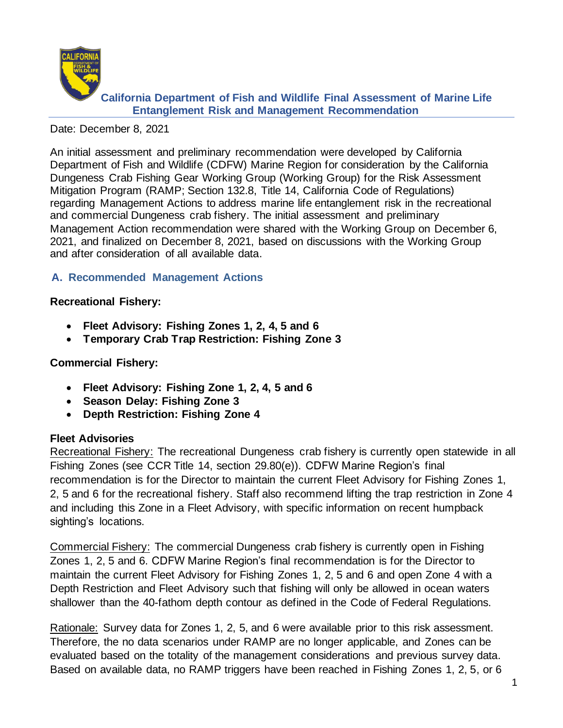

#### Date: December 8, 2021

An initial assessment and preliminary recommendation were developed by California Department of Fish and Wildlife (CDFW) Marine Region for consideration by the California Dungeness Crab Fishing Gear Working Group (Working Group) for the Risk Assessment Mitigation Program (RAMP; Section 132.8, Title 14, California Code of Regulations) regarding Management Actions to address marine life entanglement risk in the recreational and commercial Dungeness crab fishery. The initial assessment and preliminary Management Action recommendation were shared with the Working Group on December 6, 2021, and finalized on December 8, 2021, based on discussions with the Working Group and after consideration of all available data.

## **A. Recommended Management Actions**

### **Recreational Fishery:**

- **Fleet Advisory: Fishing Zones 1, 2, 4, 5 and 6**
- **Temporary Crab Trap Restriction: Fishing Zone 3**

#### **Commercial Fishery:**

- **Fleet Advisory: Fishing Zone 1, 2, 4, 5 and 6**
- **Season Delay: Fishing Zone 3**
- **Depth Restriction: Fishing Zone 4**

### **Fleet Advisories**

Recreational Fishery: The recreational Dungeness crab fishery is currently open statewide in all Fishing Zones (see CCR Title 14, section 29.80(e)). CDFW Marine Region's final recommendation is for the Director to maintain the current Fleet Advisory for Fishing Zones 1, 2, 5 and 6 for the recreational fishery. Staff also recommend lifting the trap restriction in Zone 4 and including this Zone in a Fleet Advisory, with specific information on recent humpback sighting's locations.

Commercial Fishery: The commercial Dungeness crab fishery is currently open in Fishing Zones 1, 2, 5 and 6. CDFW Marine Region's final recommendation is for the Director to maintain the current Fleet Advisory for Fishing Zones 1, 2, 5 and 6 and open Zone 4 with a Depth Restriction and Fleet Advisory such that fishing will only be allowed in ocean waters shallower than the 40-fathom depth contour as defined in the Code of Federal Regulations.

Rationale: Survey data for Zones 1, 2, 5, and 6 were available prior to this risk assessment. Therefore, the no data scenarios under RAMP are no longer applicable, and Zones can be evaluated based on the totality of the management considerations and previous survey data. Based on available data, no RAMP triggers have been reached in Fishing Zones 1, 2, 5, or 6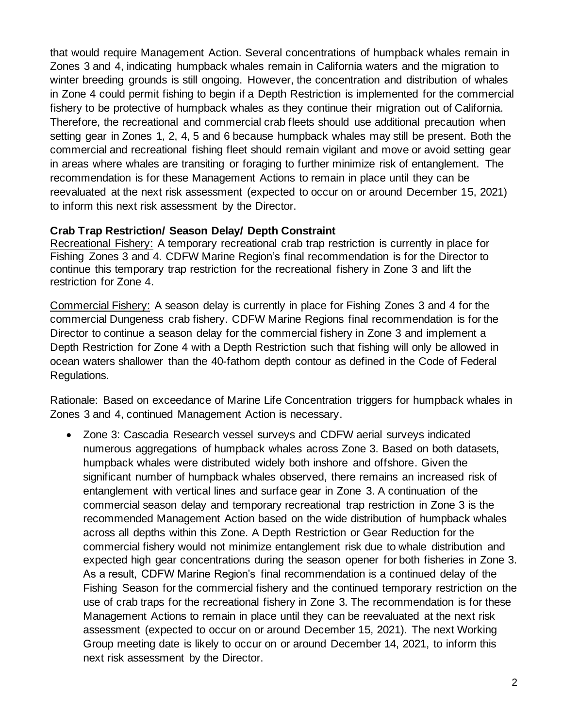that would require Management Action. Several concentrations of humpback whales remain in Zones 3 and 4, indicating humpback whales remain in California waters and the migration to winter breeding grounds is still ongoing. However, the concentration and distribution of whales in Zone 4 could permit fishing to begin if a Depth Restriction is implemented for the commercial fishery to be protective of humpback whales as they continue their migration out of California. Therefore, the recreational and commercial crab fleets should use additional precaution when setting gear in Zones 1, 2, 4, 5 and 6 because humpback whales may still be present. Both the commercial and recreational fishing fleet should remain vigilant and move or avoid setting gear in areas where whales are transiting or foraging to further minimize risk of entanglement. The recommendation is for these Management Actions to remain in place until they can be reevaluated at the next risk assessment (expected to occur on or around December 15, 2021) to inform this next risk assessment by the Director.

### **Crab Trap Restriction/ Season Delay/ Depth Constraint**

Recreational Fishery: A temporary recreational crab trap restriction is currently in place for Fishing Zones 3 and 4. CDFW Marine Region's final recommendation is for the Director to continue this temporary trap restriction for the recreational fishery in Zone 3 and lift the restriction for Zone 4.

Commercial Fishery: A season delay is currently in place for Fishing Zones 3 and 4 for the commercial Dungeness crab fishery. CDFW Marine Regions final recommendation is for the Director to continue a season delay for the commercial fishery in Zone 3 and implement a Depth Restriction for Zone 4 with a Depth Restriction such that fishing will only be allowed in ocean waters shallower than the 40-fathom depth contour as defined in the Code of Federal Regulations.

Rationale: Based on exceedance of Marine Life Concentration triggers for humpback whales in Zones 3 and 4, continued Management Action is necessary.

• Zone 3: Cascadia Research vessel surveys and CDFW aerial surveys indicated numerous aggregations of humpback whales across Zone 3. Based on both datasets, humpback whales were distributed widely both inshore and offshore. Given the significant number of humpback whales observed, there remains an increased risk of entanglement with vertical lines and surface gear in Zone 3. A continuation of the commercial season delay and temporary recreational trap restriction in Zone 3 is the recommended Management Action based on the wide distribution of humpback whales across all depths within this Zone. A Depth Restriction or Gear Reduction for the commercial fishery would not minimize entanglement risk due to whale distribution and expected high gear concentrations during the season opener for both fisheries in Zone 3. As a result, CDFW Marine Region's final recommendation is a continued delay of the Fishing Season for the commercial fishery and the continued temporary restriction on the use of crab traps for the recreational fishery in Zone 3. The recommendation is for these Management Actions to remain in place until they can be reevaluated at the next risk assessment (expected to occur on or around December 15, 2021). The next Working Group meeting date is likely to occur on or around December 14, 2021, to inform this next risk assessment by the Director.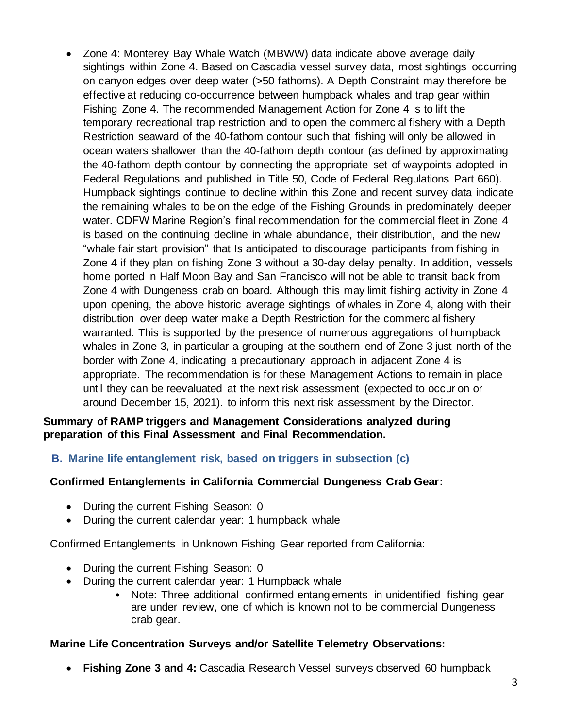• Zone 4: Monterey Bay Whale Watch (MBWW) data indicate above average daily sightings within Zone 4. Based on Cascadia vessel survey data, most sightings occurring on canyon edges over deep water (>50 fathoms). A Depth Constraint may therefore be effective at reducing co-occurrence between humpback whales and trap gear within Fishing Zone 4. The recommended Management Action for Zone 4 is to lift the temporary recreational trap restriction and to open the commercial fishery with a Depth Restriction seaward of the 40-fathom contour such that fishing will only be allowed in ocean waters shallower than the 40-fathom depth contour (as defined by approximating the 40-fathom depth contour by connecting the appropriate set of waypoints adopted in Federal Regulations and published in Title 50, Code of Federal Regulations Part 660). Humpback sightings continue to decline within this Zone and recent survey data indicate the remaining whales to be on the edge of the Fishing Grounds in predominately deeper water. CDFW Marine Region's final recommendation for the commercial fleet in Zone 4 is based on the continuing decline in whale abundance, their distribution, and the new "whale fair start provision" that Is anticipated to discourage participants from fishing in Zone 4 if they plan on fishing Zone 3 without a 30-day delay penalty. In addition, vessels home ported in Half Moon Bay and San Francisco will not be able to transit back from Zone 4 with Dungeness crab on board. Although this may limit fishing activity in Zone 4 upon opening, the above historic average sightings of whales in Zone 4, along with their distribution over deep water make a Depth Restriction for the commercial fishery warranted. This is supported by the presence of numerous aggregations of humpback whales in Zone 3, in particular a grouping at the southern end of Zone 3 just north of the border with Zone 4, indicating a precautionary approach in adjacent Zone 4 is appropriate. The recommendation is for these Management Actions to remain in place until they can be reevaluated at the next risk assessment (expected to occur on or around December 15, 2021). to inform this next risk assessment by the Director.

#### **Summary of RAMP triggers and Management Considerations analyzed during preparation of this Final Assessment and Final Recommendation.**

**B. Marine life entanglement risk, based on triggers in subsection (c)**

# **Confirmed Entanglements in California Commercial Dungeness Crab Gear:**

- During the current Fishing Season: 0
- During the current calendar year: 1 humpback whale

Confirmed Entanglements in Unknown Fishing Gear reported from California:

- During the current Fishing Season: 0
- During the current calendar year: 1 Humpback whale
	- Note: Three additional confirmed entanglements in unidentified fishing gear are under review, one of which is known not to be commercial Dungeness crab gear.

### **Marine Life Concentration Surveys and/or Satellite Telemetry Observations:**

• **Fishing Zone 3 and 4:** Cascadia Research Vessel surveys observed 60 humpback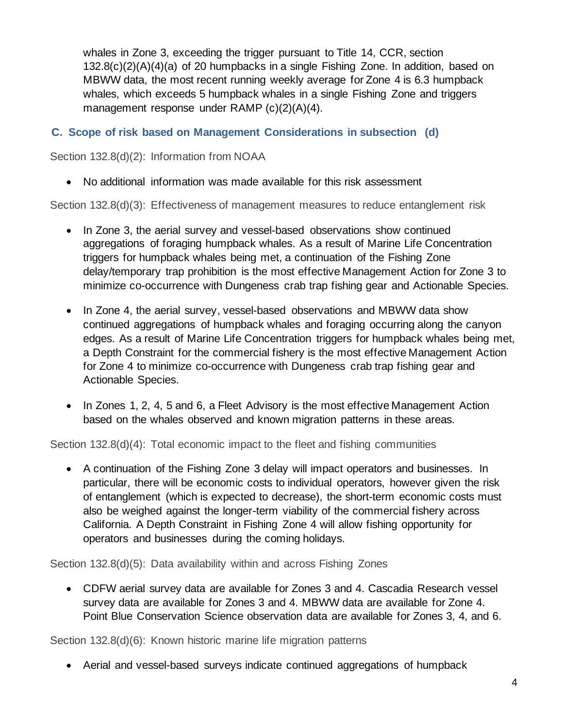whales in Zone 3, exceeding the trigger pursuant to Title 14, CCR, section 132.8(c)(2)(A)(4)(a) of 20 humpbacks in a single Fishing Zone. In addition, based on MBWW data, the most recent running weekly average for Zone 4 is 6.3 humpback whales, which exceeds 5 humpback whales in a single Fishing Zone and triggers management response under RAMP (c)(2)(A)(4).

## **C. Scope of risk based on Management Considerations in subsection (d)**

Section 132.8(d)(2): Information from NOAA

• No additional information was made available for this risk assessment

Section 132.8(d)(3): Effectiveness of management measures to reduce entanglement risk

- In Zone 3, the aerial survey and vessel-based observations show continued aggregations of foraging humpback whales. As a result of Marine Life Concentration triggers for humpback whales being met, a continuation of the Fishing Zone delay/temporary trap prohibition is the most effective Management Action for Zone 3 to minimize co-occurrence with Dungeness crab trap fishing gear and Actionable Species.
- In Zone 4, the aerial survey, vessel-based observations and MBWW data show continued aggregations of humpback whales and foraging occurring along the canyon edges. As a result of Marine Life Concentration triggers for humpback whales being met, a Depth Constraint for the commercial fishery is the most effective Management Action for Zone 4 to minimize co-occurrence with Dungeness crab trap fishing gear and Actionable Species.
- In Zones 1, 2, 4, 5 and 6, a Fleet Advisory is the most effective Management Action based on the whales observed and known migration patterns in these areas.

Section 132.8(d)(4): Total economic impact to the fleet and fishing communities

• A continuation of the Fishing Zone 3 delay will impact operators and businesses. In particular, there will be economic costs to individual operators, however given the risk of entanglement (which is expected to decrease), the short-term economic costs must also be weighed against the longer-term viability of the commercial fishery across California. A Depth Constraint in Fishing Zone 4 will allow fishing opportunity for operators and businesses during the coming holidays.

Section 132.8(d)(5): Data availability within and across Fishing Zones

• CDFW aerial survey data are available for Zones 3 and 4. Cascadia Research vessel survey data are available for Zones 3 and 4. MBWW data are available for Zone 4. Point Blue Conservation Science observation data are available for Zones 3, 4, and 6.

Section 132.8(d)(6): Known historic marine life migration patterns

• Aerial and vessel-based surveys indicate continued aggregations of humpback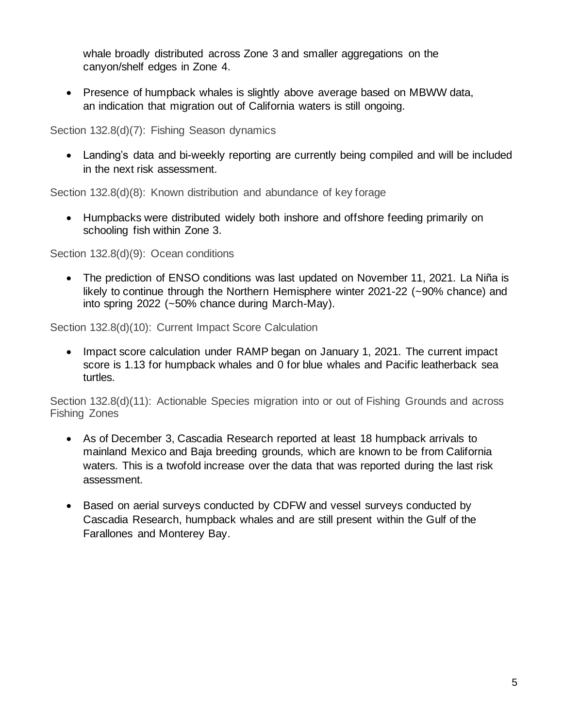whale broadly distributed across Zone 3 and smaller aggregations on the canyon/shelf edges in Zone 4.

• Presence of humpback whales is slightly above average based on MBWW data, an indication that migration out of California waters is still ongoing.

Section 132.8(d)(7): Fishing Season dynamics

• Landing's data and bi-weekly reporting are currently being compiled and will be included in the next risk assessment.

Section 132.8(d)(8): Known distribution and abundance of key forage

• Humpbacks were distributed widely both inshore and offshore feeding primarily on schooling fish within Zone 3.

Section 132.8(d)(9): Ocean conditions

• The prediction of ENSO conditions was last updated on November 11, 2021. La Niña is likely to continue through the Northern Hemisphere winter 2021-22 (~90% chance) and into spring 2022 (~50% chance during March-May).

Section 132.8(d)(10): Current Impact Score Calculation

• Impact score calculation under RAMP began on January 1, 2021. The current impact score is 1.13 for humpback whales and 0 for blue whales and Pacific leatherback sea turtles.

Section 132.8(d)(11): Actionable Species migration into or out of Fishing Grounds and across Fishing Zones

- As of December 3, Cascadia Research reported at least 18 humpback arrivals to mainland Mexico and Baja breeding grounds, which are known to be from California waters. This is a twofold increase over the data that was reported during the last risk assessment.
- Based on aerial surveys conducted by CDFW and vessel surveys conducted by Cascadia Research, humpback whales and are still present within the Gulf of the Farallones and Monterey Bay.